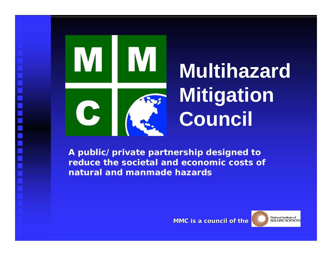

# **Multihazard Mitigation Council**

*A public/private partnership designed to reduce the societal and economic costs ofnatural and manmade hazards*

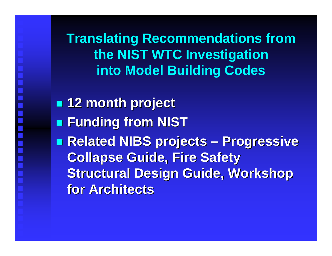**Translating Recommendations from the NIST WTC Investigation into Model Building Codes**

 **12 month project 12 month project Funding from NIST Funding from NIST Related NIBS projects – Progressive Related NIBS projects – Progressive Collapse Guide, Fire Safety Collapse Guide, Fire Safety Structural Design Guide, Workshop Structural Design Guide, Workshop for Architects for Architects**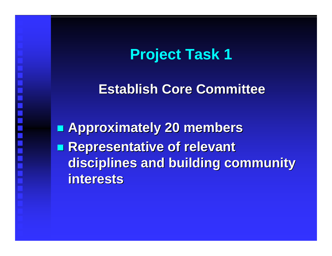**Establish Core Committee Establish Core Committee**

 **Approximately 20 members Approximately 20 members Representative of relevant Representative of relevant disciplines and building community disciplines and building community interests interests**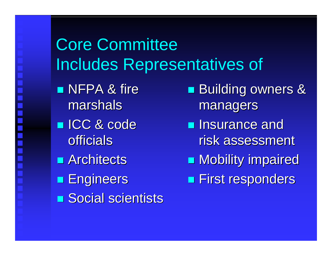#### Core Committee Includes Representatives of

 $\blacksquare$  NFPA & fire marshals

- ICC & code ICC & code officials
- **Rangeling Reports**
- **Engineers**
- **Social scientists**
- **Building owners &** managers managers
- **Insurance and** risk assessment
- **Nobility impaired**
- **First responders**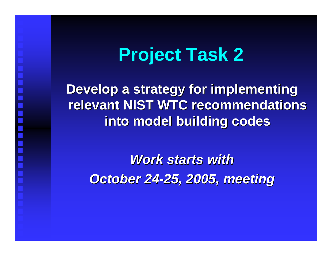**Develop a strategy for implementing Develop a strategy for implementing relevant NIST WTC recommendations relevant NIST WTC recommendations into model building codes into model building codes**

*Work starts with Work starts withOctober 24-25, 2005, meeting October 24-25, 2005, meeting*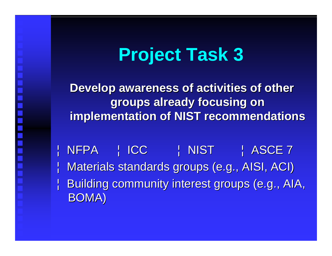**Develop awareness of activities of other Develop awareness of activities of other groups already focusing on groups already focusing on implementation of NIST recommendations** 

¦ NFPA ¦ ICC ¦ NIST ¦ ASCE 7 | Materials standards groups (e.g., AISI, ACI)  $\parallel$  Building community interest groups (e.g., AIA, BOMA)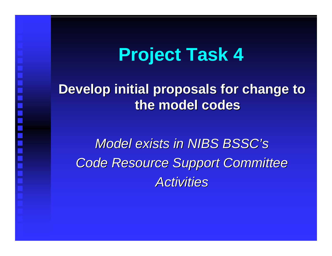#### **Develop initial proposals for change to Develop initial proposals for change to the model codes the model codes**

*Model exists in NIBS BSSC's Model exists in NIBS BSSC's Code Resource Support Committee Code Resource Support Committee Activities Activities*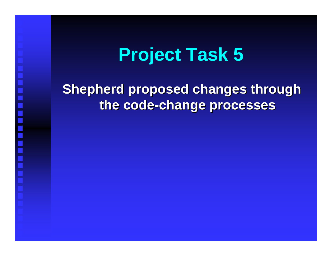#### **Shepherd proposed changes through Shepherd proposed changes through the code-change processes the code-change processes**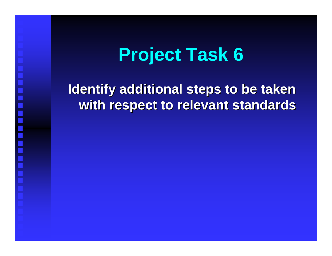#### **Identify additional steps to be taken Identify additional steps to be taken with respect to relevant standards with respect to relevant standards**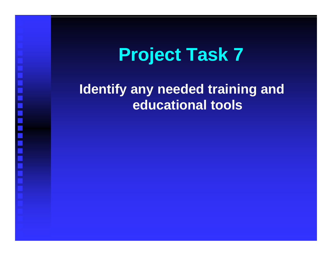#### **Identify any needed training and educational tools**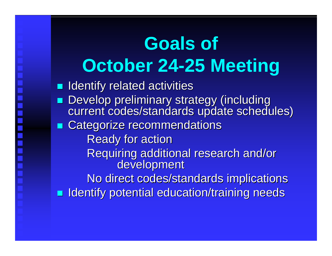## **Goals of October 24-25 Meeting**

**If Identify related activities Develop preliminary strategy (including** current codes/standards update schedules) **EXTE Categorize recommendations Ready for action** Requiring additional research and/or<br>development No direct codes/standards implications **IDENTIFY Potential education/training needs**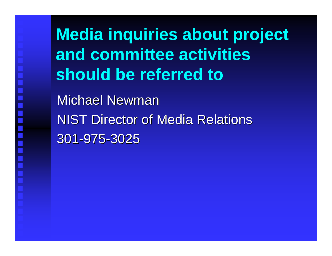**Media inquiries about project and committee activitiesshould be referred to**

Michael Newman **NIST Director of Media Relations** 301-975-3025